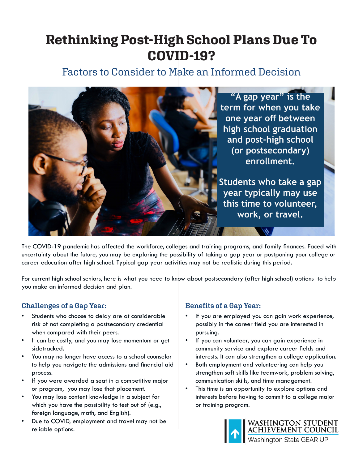# **Rethinking Post-High School Plans Due To COVID-19?**

## Factors to Consider to Make an Informed Decision



The COVID-19 pandemic has affected the workforce, colleges and training programs, and family finances. Faced with uncertainty about the future, you may be exploring the possibility of taking a gap year or postponing your college or career education after high school. Typical gap year activities may not be realistic during this period.

For current high school seniors, here is what you need to know about postsecondary (after high school) options to help you make an informed decision and plan.

#### **Challenges of a Gap Year:**

- Students who choose to delay are at considerable risk of not completing a postsecondary credential when compared with their peers.
- It can be costly, and you may lose momentum or get sidetracked.
- You may no longer have access to a school counselor to help you navigate the admissions and financial aid process.
- If you were awarded a seat in a competitive major or program, you may lose that placement.
- You may lose content knowledge in a subject for which you have the possibility to test out of (e.g., foreign language, math, and English).
- Due to COVID, employment and travel may not be reliable options.

#### **Benefits of a Gap Year:**

- If you are employed you can gain work experience, possibly in the career field you are interested in pursuing.
- If you can volunteer, you can gain experience in community service and explore career fields and interests. It can also strengthen a college application.
- Both employment and volunteering can help you strengthen soft skills like teamwork, problem solving, communication skills, and time management.
- This time is an opportunity to explore options and interests before having to commit to a college major or training program.